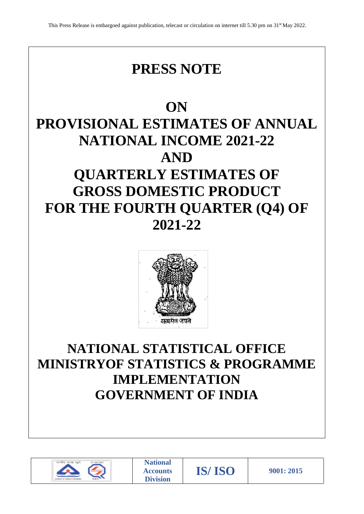

# **ON PROVISIONAL ESTIMATES OF ANNUAL NATIONAL INCOME 2021-22 AND QUARTERLY ESTIMATES OF GROSS DOMESTIC PRODUCT FOR THE FOURTH QUARTER (Q4) OF 2021-22**



# **NATIONAL STATISTICAL OFFICE MINISTRYOF STATISTICS & PROGRAMME IMPLEMENTATION GOVERNMENT OF INDIA**



**National Accounts Division**

**IS/ ISO 9001: 2015**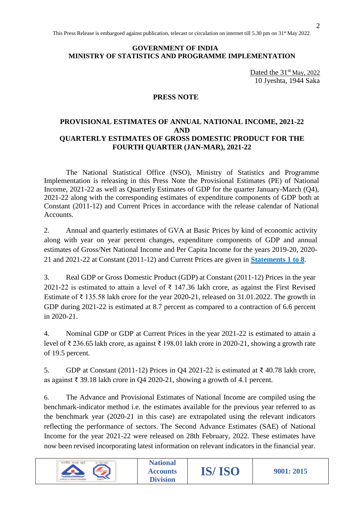## **GOVERNMENT OF INDIA MINISTRY OF STATISTICS AND PROGRAMME IMPLEMENTATION**

Dated the  $31<sup>st</sup>$  May, 2022 10 Jyeshta, 1944 Saka

# **PRESS NOTE**

## **PROVISIONAL ESTIMATES OF ANNUAL NATIONAL INCOME, 2021-22 AND QUARTERLY ESTIMATES OF GROSS DOMESTIC PRODUCT FOR THE FOURTH QUARTER (JAN-MAR), 2021-22**

The National Statistical Office (NSO), Ministry of Statistics and Programme Implementation is releasing in this Press Note the Provisional Estimates (PE) of National Income, 2021-22 as well as Quarterly Estimates of GDP for the quarter January-March (Q4), 2021-22 along with the corresponding estimates of expenditure components of GDP both at Constant (2011-12) and Current Prices in accordance with the release calendar of National Accounts.

2. Annual and quarterly estimates of GVA at Basic Prices by kind of economic activity along with year on year percent changes, expenditure components of GDP and annual estimates of Gross/Net National Income and Per Capita Income for the years 2019-20, 2020- 21 and 2021-22 at Constant (2011-12) and Current Prices are given in **[Statements 1 to 8](https://mospi.gov.in/documents/213904/1123540/Statements_PE+Estimates+2021-22.xls/245f3f78-60f1-b8bc-fdd8-a88b1b690d74?t=1653998733238)**.

3. Real GDP or Gross Domestic Product (GDP) at Constant (2011-12) Prices in the year 2021-22 is estimated to attain a level of  $\bar{\tau}$  147.36 lakh crore, as against the First Revised Estimate of  $\bar{\tau}$  135.58 lakh crore for the year 2020-21, released on 31.01.2022. The growth in GDP during 2021-22 is estimated at 8.7 percent as compared to a contraction of 6.6 percent in 2020-21.

4. Nominal GDP or GDP at Current Prices in the year 2021-22 is estimated to attain a level of ₹ 236.65 lakh crore, as against ₹ 198.01 lakh crore in 2020-21, showing a growth rate of 19.5 percent.

5. GDP at Constant (2011-12) Prices in Q4 2021-22 is estimated at ₹ 40.78 lakh crore, as against ₹ 39.18 lakh crore in Q4 2020-21, showing a growth of 4.1 percent.

6. The Advance and Provisional Estimates of National Income are compiled using the benchmark-indicator method i.e. the estimates available for the previous year referred to as the benchmark year (2020-21 in this case) are extrapolated using the relevant indicators reflecting the performance of sectors. The Second Advance Estimates (SAE) of National Income for the year 2021-22 were released on 28th February, 2022. These estimates have now been revised incorporating latest information on relevant indicators in the financial year.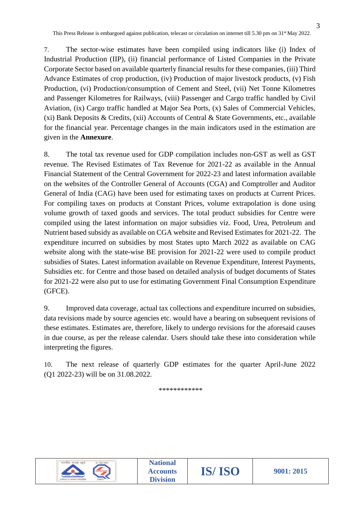7. The sector-wise estimates have been compiled using indicators like (i) Index of Industrial Production (IIP), (ii) financial performance of Listed Companies in the Private Corporate Sector based on available quarterly financial results for these companies, (iii) Third Advance Estimates of crop production, (iv) Production of major livestock products, (v) Fish Production, (vi) Production/consumption of Cement and Steel, (vii) Net Tonne Kilometres and Passenger Kilometres for Railways, (viii) Passenger and Cargo traffic handled by Civil Aviation, (ix) Cargo traffic handled at Major Sea Ports, (x) Sales of Commercial Vehicles, (xi) Bank Deposits & Credits, (xii) Accounts of Central & State Governments, etc., available for the financial year. Percentage changes in the main indicators used in the estimation are given in the **Annexure**.

8. The total tax revenue used for GDP compilation includes non-GST as well as GST revenue. The Revised Estimates of Tax Revenue for 2021-22 as available in the Annual Financial Statement of the Central Government for 2022-23 and latest information available on the websites of the Controller General of Accounts (CGA) and Comptroller and Auditor General of India (CAG) have been used for estimating taxes on products at Current Prices. For compiling taxes on products at Constant Prices, volume extrapolation is done using volume growth of taxed goods and services. The total product subsidies for Centre were compiled using the latest information on major subsidies viz. Food, Urea, Petroleum and Nutrient based subsidy as available on CGA website and Revised Estimates for 2021-22. The expenditure incurred on subsidies by most States upto March 2022 as available on CAG website along with the state-wise BE provision for 2021-22 were used to compile product subsidies of States. Latest information available on Revenue Expenditure, Interest Payments, Subsidies etc. for Centre and those based on detailed analysis of budget documents of States for 2021-22 were also put to use for estimating Government Final Consumption Expenditure (GFCE).

9. Improved data coverage, actual tax collections and expenditure incurred on subsidies, data revisions made by source agencies etc. would have a bearing on subsequent revisions of these estimates. Estimates are, therefore, likely to undergo revisions for the aforesaid causes in due course, as per the release calendar. Users should take these into consideration while interpreting the figures.

10. The next release of quarterly GDP estimates for the quarter April-June 2022 (Q1 2022-23) will be on 31.08.2022.

\*\*\*\*\*\*\*\*\*\*\*\*

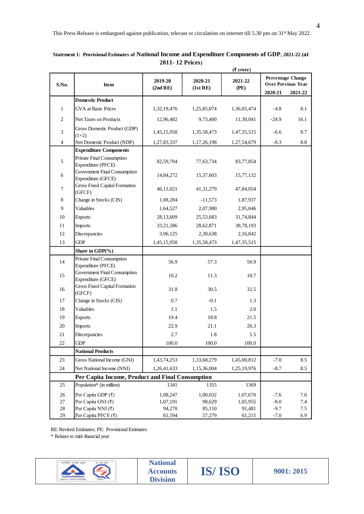|                  |                                                                                     |                                    |                     | $(7$ crore)     |                          |                           |
|------------------|-------------------------------------------------------------------------------------|------------------------------------|---------------------|-----------------|--------------------------|---------------------------|
| S.No.            | Item                                                                                | 2019-20<br>(2nd RE)                | 2020-21<br>(1st RE) | 2021-22<br>(PE) | <b>Percentage Change</b> | <b>Over Previous Year</b> |
|                  | <b>Domestic Product</b>                                                             |                                    |                     |                 | 2020-21                  | 2021-22                   |
| $\mathbf{1}$     | <b>GVA</b> at Basic Prices                                                          | 1,32,19,476                        | 1,25,85,074         | 1,36,05,474     | $-4.8$                   | 8.1                       |
|                  |                                                                                     |                                    |                     |                 |                          |                           |
| $\sqrt{2}$       | Net Taxes on Products                                                               | 12,96,482                          | 9,73,400            | 11,30,041       | $-24.9$                  | 16.1                      |
| $\mathfrak{Z}$   | Gross Domestic Product (GDP)<br>$(1+2)$                                             | 1,45,15,958                        | 1,35,58,473         | 1,47,35,515     | $-6.6$                   | 8.7                       |
| $\overline{4}$   | Net Domestic Product (NDP)                                                          | 1,27,83,337                        | 1,17,26,198         | 1,27,54,679     | $-8.3$                   | 8.8                       |
|                  | <b>Expenditure Components</b>                                                       |                                    |                     |                 |                          |                           |
| 5                | Private Final Consumption<br>Expenditure (PFCE)                                     | 82,59,704                          | 77,63,734           | 83,77,854       |                          |                           |
| 6                | Government Final Consumption<br>Expenditure (GFCE)                                  | 14,84,272                          | 15,37,603           | 15,77,132       |                          |                           |
| $\boldsymbol{7}$ | <b>Gross Fixed Capital Formation</b><br>(GFCF)                                      | 46,11,021                          | 41, 31, 279         | 47,84,054       |                          |                           |
| 8                | Change in Stocks (CIS)                                                              | 1,08,284                           | $-11,573$           | 1,87,937        |                          |                           |
| 9                | Valuables                                                                           | 1,64,527                           | 2,07,980            | 2,95,046        |                          |                           |
| 10               | <b>Exports</b>                                                                      | 28,13,609                          | 25,53,683           | 31,74,844       |                          |                           |
| 11               | Imports                                                                             | 33,21,586                          | 28,62,871           | 38,78,193       |                          |                           |
| 12               | Discrepancies                                                                       | 3,96,125                           | 2,38,638            | 2,16,842        |                          |                           |
| 13               | <b>GDP</b>                                                                          | 1,45,15,958                        | 1,35,58,473         | 1,47,35,515     |                          |                           |
|                  | Share in GDP(%)                                                                     |                                    |                     |                 |                          |                           |
| 14               | Private Final Consumption<br>Expenditure (PFCE)                                     | 56.9                               | 57.3                | 56.9            |                          |                           |
| 15               | <b>Government Final Consumption</b><br>Expenditure (GFCE)                           | 10.2                               | 11.3                | 10.7            |                          |                           |
| 16               | Gross Fixed Capital Formation<br>(GFCF)                                             | 31.8                               | 30.5                | 32.5            |                          |                           |
| 17               | Change in Stocks (CIS)                                                              | 0.7                                | $-0.1$              | 1.3             |                          |                           |
| 18               | Valuables                                                                           | 1.1                                | 1.5                 | 2.0             |                          |                           |
| 19               | <b>Exports</b>                                                                      | 19.4                               | 18.8                | 21.5            |                          |                           |
| 20               | <b>Imports</b>                                                                      | 22.9                               | 21.1                | 26.3            |                          |                           |
| 21               | Discrepancies                                                                       | 2.7                                | 1.8                 | 1.5             |                          |                           |
| 22               | GDP                                                                                 | 100.0                              | 100.0               | 100.0           |                          |                           |
|                  | <b>National Products</b>                                                            |                                    |                     |                 |                          |                           |
| 23               | Gross National Income (GNI)                                                         | 1,43,74,253                        | 1,33,68,279         | 1,45,00,812     | $-7.0$                   | 8.5                       |
| 24               | Net National Income (NNI)                                                           | 1,26,41,633                        | 1,15,36,004         | 1,25,19,976     | $-8.7$                   | 8.5                       |
|                  | Per Capita Income, Product and Final Consumption                                    |                                    |                     |                 |                          |                           |
| 25               | Population* (in million)                                                            | 1341                               | 1355                | 1369            |                          |                           |
| 26               | Per Capita GDP (₹)                                                                  | 1,08,247                           | 1,00,032            | 1,07,670        | $-7.6$                   | 7.6                       |
| 27               | Per Capita GNI (₹)                                                                  | 1,07,191                           | 98,629              | 1,05,955        | $-8.0$                   | 7.4                       |
| 28               | Per Capita NNI (₹)                                                                  | 94,270                             | 85,110              | 91,481          | $-9.7$                   | $7.5\,$                   |
| 29               | Per Capita PFCE (₹)                                                                 | 61,594                             | 57,279              | 61,215          | $-7.0$                   | 6.9                       |
|                  | RE: Revised Estimates; PE: Provisional Estimates<br>* Relates to mid-financial year |                                    |                     |                 |                          |                           |
|                  | भारतीय मानक ब्यूरो<br>S / ISO 9001                                                  | <b>National</b><br><b>Accounts</b> | <b>IS/ISO</b>       |                 |                          | 9001: 2015                |

**Statement 1: Provisional Estimates of National Income and Expenditure Components of GDP, 2021-22 (at 2011- 12 Prices)**

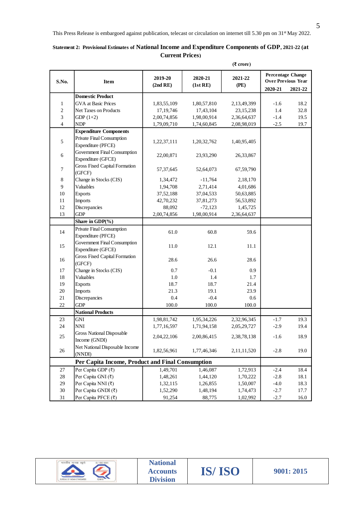|                  |                                                    |                     |                     | $(7$ crore)     |         |                                                                  |
|------------------|----------------------------------------------------|---------------------|---------------------|-----------------|---------|------------------------------------------------------------------|
| S.No.            | Item                                               | 2019-20<br>(2nd RE) | 2020-21<br>(1st RE) | 2021-22<br>(PE) | 2020-21 | <b>Percentage Change</b><br><b>Over Previous Year</b><br>2021-22 |
|                  | <b>Domestic Product</b>                            |                     |                     |                 |         |                                                                  |
| $\mathbf{1}$     | <b>GVA</b> at Basic Prices                         | 1,83,55,109         | 1,80,57,810         | 2,13,49,399     | $-1.6$  | 18.2                                                             |
| $\overline{c}$   | Net Taxes on Products                              | 17, 19, 746         | 17,43,104           | 23, 15, 238     | 1.4     | 32.8                                                             |
| 3                | GDP $(1+2)$                                        | 2,00,74,856         | 1,98,00,914         | 2,36,64,637     | $-1.4$  | 19.5                                                             |
| $\overline{4}$   | <b>NDP</b>                                         | 1,79,09,710         | 1,74,60,845         | 2,08,98,019     | $-2.5$  | 19.7                                                             |
|                  | <b>Expenditure Components</b>                      |                     |                     |                 |         |                                                                  |
| 5                | Private Final Consumption<br>Expenditure (PFCE)    | 1,22,37,111         | 1,20,32,762         | 1,40,95,405     |         |                                                                  |
| 6                | Government Final Consumption<br>Expenditure (GFCE) | 22,00,871           | 23,93,290           | 26,33,867       |         |                                                                  |
| $\boldsymbol{7}$ | <b>Gross Fixed Capital Formation</b><br>(GFCF)     | 57, 37, 645         | 52,64,073           | 67,59,790       |         |                                                                  |
| $8\,$            | Change in Stocks (CIS)                             | 1,34,472            | $-11,764$           | 2,18,170        |         |                                                                  |
| $\overline{9}$   | Valuables                                          | 1,94,708            | 2,71,414            | 4,01,686        |         |                                                                  |
| $10\,$           | <b>Exports</b>                                     | 37,52,188           | 37,04,533           | 50,63,885       |         |                                                                  |
| 11               | <b>Imports</b>                                     | 42,70,232           | 37,81,273           | 56, 53, 892     |         |                                                                  |
| 12               | Discrepancies                                      | 88,092              | $-72,123$           | 1,45,725        |         |                                                                  |
| 13               | <b>GDP</b>                                         | 2,00,74,856         | 1,98,00,914         | 2,36,64,637     |         |                                                                  |
|                  | Share in GDP(%)                                    |                     |                     |                 |         |                                                                  |
| 14               | Private Final Consumption<br>Expenditure (PFCE)    | 61.0                | 60.8                | 59.6            |         |                                                                  |
| 15               | Government Final Consumption<br>Expenditure (GFCE) | 11.0                | 12.1                | 11.1            |         |                                                                  |
| 16               | <b>Gross Fixed Capital Formation</b><br>(GFCF)     | 28.6                | 26.6                | 28.6            |         |                                                                  |
| 17               | Change in Stocks (CIS)                             | 0.7                 | $-0.1$              | 0.9             |         |                                                                  |
| 18               | Valuables                                          | 1.0                 | 1.4                 | 1.7             |         |                                                                  |
| 19               | <b>Exports</b>                                     | 18.7                | 18.7                | 21.4            |         |                                                                  |
| $20\,$           | <b>Imports</b>                                     | 21.3                | 19.1                | 23.9            |         |                                                                  |
| 21               | Discrepancies                                      | 0.4                 | $-0.4$              | 0.6             |         |                                                                  |
| 22               | <b>GDP</b>                                         | 100.0               | 100.0               | 100.0           |         |                                                                  |
|                  | <b>National Products</b>                           |                     |                     |                 |         |                                                                  |
| 23               | <b>GNI</b>                                         | 1,98,81,742         | 1,95,34,226         | 2,32,96,345     | $-1.7$  | 19.3                                                             |
| 24               | <b>NNI</b>                                         | 1,77,16,597         | 1,71,94,158         | 2,05,29,727     | $-2.9$  | 19.4                                                             |
| 25               | <b>Gross National Disposable</b><br>Income (GNDI)  | 2,04,22,106         | 2,00,86,415         | 2,38,78,138     | $-1.6$  | 18.9                                                             |
| 26               | Net National Disposable Income<br>(NNDI)           | 1,82,56,961         | 1,77,46,346         | 2,11,11,520     | $-2.8$  | 19.0                                                             |
|                  | Per Capita Income, Product and Final Consumption   |                     |                     |                 |         |                                                                  |
| 27               | Per Capita GDP (₹)                                 | 1,49,701            | 1,46,087            | 1,72,913        | $-2.4$  | 18.4                                                             |
| 28               | Per Capita GNI (₹)                                 | 1,48,261            | 1,44,120            | 1,70,222        | $-2.8$  | 18.1                                                             |
| 29               | Per Capita NNI (₹)                                 | 1,32,115            | 1,26,855            | 1,50,007        | $-4.0$  | 18.3                                                             |
| 30               | Per Capita GNDI (₹)                                | 1,52,290            | 1,48,194            | 1,74,473        | $-2.7$  | 17.7                                                             |
| 31               | Per Capita PFCE (₹)                                | 91,254              | 88,775              | 1,02,992        | $-2.7$  | 16.0                                                             |

## **Statement 2: Provisional Estimates of National Income and Expenditure Components of GDP, 2021-22 (at Current Prices)**

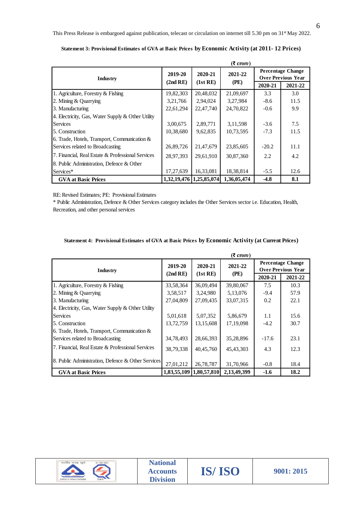|                                                   |           |                         | (s crore)   |         |                                                       |
|---------------------------------------------------|-----------|-------------------------|-------------|---------|-------------------------------------------------------|
| Industry                                          | 2019-20   | 2020-21                 | 2021-22     |         | <b>Percentage Change</b><br><b>Over Previous Year</b> |
|                                                   | (2nd RE)  | (1st RE)                | (PE)        | 2020-21 | 2021-22                                               |
| 1. Agriculture, Forestry & Fishing                | 19,82,303 | 20,48,032               | 21,09,697   | 3.3     | 3.0                                                   |
| 2. Mining & Quarrying                             | 3,21,766  | 2,94,024                | 3,27,984    | $-8.6$  | 11.5                                                  |
| 3. Manufacturing                                  | 22,61,294 | 22,47,740               | 24,70,822   | $-0.6$  | 9.9                                                   |
| 4. Electricity, Gas, Water Supply & Other Utility |           |                         |             |         |                                                       |
| <b>Services</b>                                   | 3,00,675  | 2,89,771                | 3,11,598    | $-3.6$  | 7.5                                                   |
| 5. Construction                                   | 10,38,680 | 9,62,835                | 10,73,595   | $-7.3$  | 11.5                                                  |
| 6. Trade, Hotels, Transport, Communication &      |           |                         |             |         |                                                       |
| Services related to Broadcasting                  | 26,89,726 | 21,47,679               | 23,85,605   | $-20.2$ | 11.1                                                  |
| 7. Financial, Real Estate & Professional Services | 28,97,393 | 29,61,910               | 30,87,360   | 2.2     | 4.2                                                   |
| 8. Public Administration, Defence & Other         |           |                         |             |         |                                                       |
| Services*                                         | 17,27,639 | 16,33,081               | 18,38,814   | $-5.5$  | 12.6                                                  |
| <b>GVA at Basic Prices</b>                        |           | 1,32,19,476 1,25,85,074 | 1,36,05,474 | $-4.8$  | 8.1                                                   |

**Statement 3: Provisional Estimates of GVA at Basic Prices by Economic Activity (at 2011- 12 Prices)**

|  | Statement 4: Provisional Estimates of GVA at Basic Prices by Economic Activity (at Current Prices) |  |  |  |  |  |  |  |  |  |  |
|--|----------------------------------------------------------------------------------------------------|--|--|--|--|--|--|--|--|--|--|
|--|----------------------------------------------------------------------------------------------------|--|--|--|--|--|--|--|--|--|--|

|                                                                                                                                               |                                    |             | $(3$ crore)        |         |                           |
|-----------------------------------------------------------------------------------------------------------------------------------------------|------------------------------------|-------------|--------------------|---------|---------------------------|
|                                                                                                                                               | 2019-20                            | 2020-21     | 2021-22            |         | <b>Percentage Change</b>  |
| Industry                                                                                                                                      | (2nd RE)                           | (1st RE)    | (PE)               |         | <b>Over Previous Year</b> |
|                                                                                                                                               |                                    |             |                    | 2020-21 | 2021-22                   |
| 1. Agriculture, Forestry & Fishing                                                                                                            | 19,82,303                          | 20,48,032   | 21,09,697          | 3.3     | 3.0                       |
| 2. Mining & Quarrying                                                                                                                         | 3,21,766                           | 2,94,024    | 3,27,984           | $-8.6$  | 11.5                      |
| 3. Manufacturing                                                                                                                              | 22,61,294                          | 22,47,740   | 24,70,822          | $-0.6$  | 9.9                       |
| 4. Electricity, Gas, Water Supply & Other Utility                                                                                             |                                    |             |                    |         |                           |
| <b>Services</b>                                                                                                                               | 3,00,675                           | 2,89,771    | 3,11,598           | $-3.6$  | 7.5                       |
| 5. Construction                                                                                                                               | 10,38,680                          | 9,62,835    | 10,73,595          | $-7.3$  | 11.5                      |
| 6. Trade, Hotels, Transport, Communication &                                                                                                  |                                    |             |                    |         |                           |
| Services related to Broadcasting                                                                                                              | 26,89,726                          | 21,47,679   | 23,85,605          | $-20.2$ | 11.1                      |
| 7. Financial, Real Estate & Professional Services                                                                                             | 28,97,393                          | 29,61,910   | 30,87,360          | 2.2     | 4.2                       |
| 8. Public Administration, Defence & Other                                                                                                     |                                    |             |                    |         |                           |
| Services*                                                                                                                                     | 17,27,639                          | 16,33,081   | 18,38,814          | $-5.5$  | 12.6                      |
| <b>GVA</b> at Basic Prices                                                                                                                    | 1,32,19,476                        | 1,25,85,074 | 1,36,05,474        | $-4.8$  | 8.1                       |
| Recreation, and other personal services<br>Statement 4: Provisional Estimates of GVA at Basic Prices by Economic Activity (at Current Prices) |                                    |             |                    |         |                           |
|                                                                                                                                               |                                    |             | $(5 \text{ core})$ |         |                           |
|                                                                                                                                               | 2019-20                            | 2020-21     | 2021-22            |         | <b>Percentage Change</b>  |
| Industry                                                                                                                                      | (2nd RE)                           | (1st RE)    | (PE)               |         | <b>Over Previous Year</b> |
|                                                                                                                                               |                                    |             |                    | 2020-21 | 2021-22                   |
| 1. Agriculture, Forestry & Fishing                                                                                                            | 33,58,364                          | 36,09,494   | 39,80,067          | 7.5     | 10.3                      |
| 2. Mining & Quarrying                                                                                                                         | 3,58,517                           | 3,24,980    | 5,13,076           | $-9.4$  | 57.9                      |
| 3. Manufacturing                                                                                                                              | 27,04,809                          | 27,09,435   | 33,07,315          | 0.2     | 22.1                      |
| 4. Electricity, Gas, Water Supply & Other Utility                                                                                             |                                    |             |                    |         |                           |
| <b>Services</b>                                                                                                                               | 5,01,618                           | 5,07,352    | 5,86,679           | 1.1     | 15.6                      |
| 5. Construction                                                                                                                               | 13,72,759                          | 13,15,608   | 17,19,098          | $-4.2$  | 30.7                      |
| 6. Trade, Hotels, Transport, Communication &                                                                                                  |                                    |             |                    |         |                           |
| Services related to Broadcasting                                                                                                              | 34,78,493                          | 28,66,393   | 35,28,896          | $-17.6$ | 23.1                      |
| 7. Financial, Real Estate & Professional Services                                                                                             | 38,79,338                          | 40,45,760   | 45, 43, 303        | 4.3     | 12.3                      |
| 8. Public Administration, Defence & Other Services                                                                                            | 27,01,212                          | 26,78,787   | 31,70,966          | $-0.8$  | 18.4                      |
| <b>GVA</b> at Basic Prices                                                                                                                    | 1,83,55,109                        | 1,80,57,810 | 2,13,49,399        | $-1.6$  | 18.2                      |
|                                                                                                                                               |                                    |             |                    |         |                           |
| भारतीय मानक ब्यूरो<br>IS / ISO 9001                                                                                                           | <b>National</b><br><b>Accounts</b> | IS/ISO      |                    |         | 9001: 2015                |

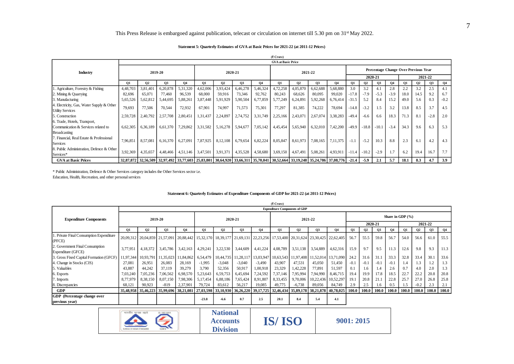## This Press Release is embargoed against publication, telecast or circulation on internet till 5.30 pm on 31<sup>st</sup> May 2022.

#### **Statement 5: Quarterly Estimates of GVA at Basic Prices for 2021-22 (at 2011-12 Prices)**

|                                           |          |           |                                                                                                                               |                   |                                                                         |                |                   |          | (7 Crore)                 |                |           |          |         |           |         |           |                                      |                |         |                |
|-------------------------------------------|----------|-----------|-------------------------------------------------------------------------------------------------------------------------------|-------------------|-------------------------------------------------------------------------|----------------|-------------------|----------|---------------------------|----------------|-----------|----------|---------|-----------|---------|-----------|--------------------------------------|----------------|---------|----------------|
|                                           |          |           |                                                                                                                               |                   |                                                                         |                |                   |          | <b>GVA</b> at Basic Price |                |           |          |         |           |         |           |                                      |                |         |                |
| Industry                                  |          |           | 2019-20                                                                                                                       |                   |                                                                         |                | 2020-21           |          |                           |                | 2021-22   |          |         |           |         |           | Percentage Change Over Previous Year |                |         |                |
|                                           |          |           |                                                                                                                               |                   |                                                                         |                |                   |          |                           |                |           |          |         |           | 2020-21 |           |                                      |                | 2021-22 |                |
|                                           | 01       | <b>O2</b> | О3                                                                                                                            | <b>O4</b>         | 01                                                                      | Q <sub>2</sub> | <b>O3</b>         | 04       | <b>O1</b>                 | Q <sub>2</sub> | <b>O3</b> | 04       | 01      | <b>O2</b> | 03      | <b>O4</b> | 01                                   | Q <sub>2</sub> | 03      | Q <sub>4</sub> |
| 1. Agriculture, Forestry & Fishing        | 4,48,703 | 3,81,401  | 6,20,878                                                                                                                      | 5,31,320          | 4,62,006                                                                | 3,93,424       | 6,46,278          | 5,46,324 | 4,72,258                  | 4,05,870       | 6,62,688  | 5,68,880 | 3.0     | 3.2       | 4.1     | 2.8       | 2.2                                  | 3.2            | 2.5     | 4.1            |
| 2. Mining & Quarrying                     | 82,696   | 65,071    | 77.460                                                                                                                        | 96,539            | 68,000                                                                  | 59,916         | 73,346            | 92,762   | 80,243                    | 68,626         | 80.095    | 99,020   | $-17.8$ | $-7.9$    | $-5.3$  | $-3.9$    | 18.0                                 | 14.5           | 9.2     | 6.7            |
| 3. Manufacturing                          | 5,65,526 | 5,62,812  | 5,44,695                                                                                                                      | 5,88,261          | 3,87,448                                                                | 5,91,929       | 5,90,504          | 6,77,859 | 5,77,249                  | 6,24,891       | 5,92,268  | 6,76,414 | $-31.5$ | 5.2       | 8.4     | 15.2      | 49.0                                 | 5.6            | 0.3     | $-0.2$         |
| 4. Electricity, Gas, Water Supply & Other | 79,693   | 77,506    | 70,544                                                                                                                        | 72,932            | 67,901                                                                  | 74,997         | 71,573            | 75,301   | 77,297                    | 81,385         | 74,222    | 78,694   | $-14.8$ | $-3.2$    | 1.5     | 3.2       | 13.8                                 | 8.5            | 3.7     | 4.5            |
| <b>Utility Services</b>                   |          |           |                                                                                                                               |                   |                                                                         |                |                   |          |                           |                |           |          |         |           |         |           |                                      |                |         |                |
| 5. Construction                           | 2,59,728 | 2,40,792  | 2,57,708                                                                                                                      | 2,80,451          | 1,31,437                                                                | 2,24,897       | 2,74,752          | 3,31,749 | 2,25,166                  | 2,43,071       | 2,67,074  | 3,38,283 | $-49.4$ | $-6.6$    | 6.6     | 18.3      | 71.3                                 | 8.1            | $-2.8$  | 2.0            |
| 6. Trade, Hotels, Transport,              |          |           |                                                                                                                               |                   |                                                                         |                |                   |          |                           |                |           |          |         |           |         |           |                                      |                |         |                |
| Communication & Services related to       | 6,62,305 | 6,36,189  |                                                                                                                               | 6,61,370 7,29,862 | 3,31,582                                                                |                | 5,16,278 5,94,677 | 7,05,142 | 4,45,454                  | 5,65,940       | 6,32,010  | 7,42,200 | $-49.9$ | $-18.8$   | $-10.1$ | $-3.4$    | 34.3                                 | 9.6            | 6.3     | 5.3            |
| <b>Broadcasting</b>                       |          |           |                                                                                                                               |                   |                                                                         |                |                   |          |                           |                |           |          |         |           |         |           |                                      |                |         |                |
| 7. Financial, Real Estate & Professional  | 7.96.851 | 8,57,081  | 6,16,370 6,27,091                                                                                                             |                   | 7,87,925                                                                |                | 8,12,108 6,79,654 | 6,82,224 | 8,05,847                  | 8,61,973       | 7,08,165  | 7.11.375 | $-1.1$  | $-5.2$    | 10.3    | 8.8       | 2.3                                  | 6.1            | 4.2     | 4.3            |
| Services                                  |          |           |                                                                                                                               |                   |                                                                         |                |                   |          |                           |                |           |          |         |           |         |           |                                      |                |         |                |
| 8. Public Administration, Defence & Other | 3,92,369 | 4,35,657  |                                                                                                                               |                   | 4,48,466 4,51,146 3,47,501 3,91,371 4,35,528 4,58,680 3,69,150 4,67,491 |                |                   |          |                           |                | 5,08,261  | 4,93,911 | $-11.4$ | $-10.2$   | $-2.9$  |           | 6.2                                  | 19.4           | 16.7    | 7.7            |
| Services*                                 |          |           |                                                                                                                               |                   |                                                                         |                |                   |          |                           |                |           |          |         |           |         |           |                                      |                |         |                |
| <b>GVA at Basic Prices</b>                |          |           | 32,87,872 32,56,509 32,97,492 33,77,603 25,83,801 30,64,920 33,66,311 35,70,041 30,52,664 33,19,248 35,24,786 37,08,776 -21.4 |                   |                                                                         |                |                   |          |                           |                |           |          |         | $-5.9$    | 2.1     | 5.7       | 18.1                                 | 8.3            | 4.7     | 3.9            |

#### **Statement 6: Quarterly Estimates of Expenditure Components of GDP for 2021-22 (at 2011-12 Prices)**

|                                           |                     |                     |                     |                       |                     |                     |                         |                     | (₹ Crore)<br><b>GVA</b> at Basic Price |                                                                                                   |                     |                     |              |              |                |                |                                      |                 |              |                |
|-------------------------------------------|---------------------|---------------------|---------------------|-----------------------|---------------------|---------------------|-------------------------|---------------------|----------------------------------------|---------------------------------------------------------------------------------------------------|---------------------|---------------------|--------------|--------------|----------------|----------------|--------------------------------------|-----------------|--------------|----------------|
|                                           |                     |                     |                     |                       |                     |                     |                         |                     |                                        |                                                                                                   |                     |                     |              |              |                |                |                                      |                 |              |                |
| Industry                                  |                     |                     | 2019-20             |                       |                     |                     | 2020-21                 |                     |                                        |                                                                                                   | 2021-22             |                     |              |              |                |                | Percentage Change Over Previous Year |                 |              |                |
|                                           |                     |                     |                     |                       |                     |                     |                         |                     |                                        |                                                                                                   |                     |                     |              |              | 2020-21        |                |                                      |                 | 2021-22      |                |
|                                           | <b>O1</b>           | <b>O2</b>           | <b>O3</b>           | 04                    | <b>O1</b>           | <b>O2</b>           | <b>O3</b>               | 04                  | 01                                     | <b>O2</b>                                                                                         | <b>O3</b>           | <b>O4</b>           | <b>O1</b>    | Q2           | Q <sub>3</sub> | <b>O4</b>      | 01                                   | <b>O2</b>       | <b>O3</b>    | Q <sub>4</sub> |
| 1. Agriculture, Forestry & Fishing        | 4,48,703            | 3,81,401            | 6,20,878            | 5,31,320              | 4,62,006            | 3,93,424            | 6,46,278                | 5,46,324            | 4,72,258                               | 4,05,870                                                                                          | 6,62,688            | 5,68,880            | 3.0          | 3.2          | 4.1            | 2.8            | 2.2                                  | 3.2             | 2.5          | 4.1            |
| 2. Mining & Quarrying                     | 82,696              | 65,071              | 77,460              | 96,539                | 68,000              | 59,916              | 73,346                  | 92,762              | 80.243                                 | 68,626                                                                                            | 80,095              | 99,020              | $-17.8$      | $-7.9$       | $-5.3$         | $-3.9$         | 18.0                                 | 14.5            | 9.2          | 6.7            |
| 3. Manufacturing                          | 5,65,526            | 5,62,812            | 5,44,695            | 5,88,261              | 3,87,448            | 5,91,929            | 5,90,504                | 6,77,859            | 5,77,249                               | 6,24,891                                                                                          | 5,92,268            | 6,76,414            | $-31.5$      | 5.2          | 8.4            | 15.2           | 49.0                                 | 5.6             | 0.3          | $-0.2$         |
| 4. Electricity, Gas, Water Supply & Other | 79,693              | 77,506              | 70,544              | 72,932                | 67,901              | 74,997              | 71,573                  | 75,301              | 77,297                                 | 81,385                                                                                            | 74,222              | 78,694              | $-14.8$      | $-3.2$       | 1.5            | 3.2            | 13.8                                 | 8.5             | 3.7          | 4.5            |
| <b>Utility Services</b>                   |                     |                     |                     |                       |                     |                     |                         |                     |                                        |                                                                                                   |                     |                     |              |              |                |                |                                      |                 |              |                |
| 5. Construction                           | 2,59,728            | 2,40,792            | 2,57,708            | 2,80,451              | 1,31,437            | 2,24,897            | 2,74,752                | 3,31,749            | 2,25,166                               | 2,43,071                                                                                          | 2,67,074            | 3,38,283            | $-49.4$      | $-6.6$       | 6.6            | 18.3           | 71.3                                 | 8.1             | $-2.8$       | 2.0            |
| 6. Trade, Hotels, Transport,              |                     |                     |                     |                       |                     |                     |                         |                     |                                        |                                                                                                   |                     |                     |              |              |                |                |                                      |                 |              |                |
| Communication & Services related to       | 6,62,305            | 6,36,189            | 6,61,370            | 7,29,862              | 3,31,582            | 5,16,278            | 5,94,677                | 7,05,142            | 4,45,454                               | 5,65,940                                                                                          | 6,32,010            | 7,42,200            | $-49.9$      | $-18.8$      | $-10.1$        | $-3.4$         | 34.3                                 | 9.6             | 6.3          | 5.3            |
| Broadcasting                              |                     |                     |                     |                       |                     |                     |                         |                     |                                        |                                                                                                   |                     |                     |              |              |                |                |                                      |                 |              |                |
| 7. Financial, Real Estate & Professional  | 7,96,851            | 8,57,081            | 6,16,370            | 6,27,091              | 7,87,925            | 8, 12, 108          | 6,79,654                | 6,82,224            | 8,05,847                               | 8,61,973                                                                                          | 7,08,165            | 7, 11, 375          | $-1.1$       | $-5.2$       | 10.3           | 8.8            | 2.3                                  | 6.1             | 4.2          | 4.3            |
| Services                                  |                     |                     |                     |                       |                     |                     |                         |                     |                                        |                                                                                                   |                     |                     |              |              |                |                |                                      |                 |              |                |
| 8. Public Administration. Defence & Other | 3,92,369            | 4,35,657            | 4,48,466            | 4,51,146              | 3,47,501            | 3,91,371            | 4,35,528                | 4,58,680            | 3,69,150                               | 4,67,491                                                                                          | 5,08,261            | 4,93,911            | $-11.4$      | $-10.2$      | $-2.9$         | 1.7            | 6.2                                  | 19.4            | 16.7         | 7.7            |
| Services*                                 |                     |                     |                     |                       |                     |                     |                         |                     |                                        |                                                                                                   |                     |                     |              |              |                |                |                                      |                 |              |                |
| <b>GVA at Basic Prices</b>                | 32,87,872           |                     | 32,56,509 32,97,492 | 33,77,603             | 25,83,801           |                     | 30,64,920 33,66,311     |                     | 35,70,041 30,52,664                    | 33,19,248                                                                                         | 35,24,786           | 37,08,776           | $-21.4$      | $-5.9$       | 2.1            | 5.7            | 18.1                                 | 8.3             | 4.7          | 3.9            |
|                                           |                     |                     |                     |                       |                     |                     |                         |                     | (₹ Crore)                              | Statement 6: Quarterly Estimates of Expenditure Components of GDP for 2021-22 (at 2011-12 Prices) |                     |                     |              |              |                |                |                                      |                 |              |                |
|                                           |                     |                     |                     |                       |                     |                     |                         |                     | <b>Expenditure Components of GDP</b>   |                                                                                                   |                     |                     |              |              |                |                |                                      |                 |              |                |
|                                           |                     |                     |                     |                       |                     |                     |                         |                     |                                        |                                                                                                   |                     |                     |              |              |                |                | Share in GDP $(\% )$                 |                 |              |                |
| <b>Expenditure Components</b>             |                     |                     | 2019-20             |                       |                     |                     | 2020-21                 |                     |                                        |                                                                                                   | 2021-22             |                     |              |              | 2020-21        |                |                                      |                 | 2021-22      |                |
|                                           | <b>O1</b>           | Q2                  | Q <sub>3</sub>      | Q <sub>4</sub>        | <b>O1</b>           | Q <sub>2</sub>      | <b>O3</b>               | Q4                  | <b>O1</b>                              | Q <sub>2</sub>                                                                                    | <b>O3</b>           | Q4                  | <b>O1</b>    | Q2           | Q3             | Q <sub>4</sub> | Q1                                   | Q2              | Q3           | Q <sub>4</sub> |
| 1. Private Final Consumption Expenditure  |                     |                     |                     |                       |                     |                     |                         |                     |                                        |                                                                                                   |                     |                     |              |              |                |                |                                      |                 |              |                |
| (PFCE)                                    | 20.09.312           | 20,04,859           | 21,57,091           | 20,88,442             | 15,32,170           |                     | 18, 39, 177 21, 69, 131 | 22, 23, 256         | 17,53,400                              | 20,31,624                                                                                         | 23,30,425           | 22,62,405           | 56.7         | 55.5         | 59.8           | 56.7           | 54.0                                 | 56.6            | 61.0         | 55.5           |
| 2. Government Final Consumption           | 3,77,951            | 4,18,372            | 3,45,786            | 3,42,163              | 4,29,241            | 3,22,530            | 3,44,609                | 4,41,224            | 4,08,789                               | 3,51,138                                                                                          | 3,54,889            | 4,62,316            | 15.9         | 9.7          | 9.5            | 11.3           | 12.6                                 | 9.8             | 9.3          | 11.3           |
| Expenditure (GFCE)                        |                     |                     |                     |                       |                     |                     |                         |                     |                                        |                                                                                                   |                     |                     |              |              |                |                |                                      |                 |              |                |
| 3. Gross Fixed Capital Formation (GFCF)   | 11,97,344           | 10,93,791           | 11,35,023           | 11,84,862             | 6,54,479            | 10,44,735           | 11,28,11                | 13,03,947           | 10,63,543                              | 11,97,408                                                                                         | 11,52,014           | 13,71,090           | 24.2         | 31.6         | 31.1           | 33.3           | 32.8                                 | 33.4            | 30.1         | 33.6           |
| 4. Change in Stocks (CIS)                 | 27,081              | 26,951              | 26,083              | 28,169                | $-1,995$            | $-3,048$            | $-3,040$                | $-3,490$            | 43,907                                 | 47,531                                                                                            | 45,050              | 51,450              | $-0.1$       | $-0.1$       | $-0.1$         | $-0.1$         | 1.4                                  | 1.3             | 1.2          | 1.3            |
| 5. Valuables                              | 43,887              | 44,242              | 37,119              | 39,279                | 3,790               | 52,356              | 50,917                  | 1,00,918            | 23,329                                 | 1,42,228                                                                                          | 77,891              | 51,597              | 0.1          | 1.6          | 1.4            | 2.6            | 0.7                                  | 4.0             | 2.0          | 1.3            |
| 6. Exports                                | 7,03,240            | 7,05,236            | 7,06,562            | 6,98,570              | 5,23,643            | 6,59,753            | 6,45,694                | 7,24,592            | 7,37,146                               | 7,95,994                                                                                          | 7,94,990            | 8,46,715            | 19.4         | 19.9         | 17.8           | 18.5           | 22.7                                 | 22.2            | 20.8         | 20.8           |
| 7. Imports                                | 8,77,979            | 8,38,150            | 8,07,150            | 7,98,306              | 5,17,454            | 6,88,186            | 7,65,424                | 8,91,807            | 8,33,455                               | 9,70,006                                                                                          | 10,22,436           | 10,52,297           | 19.1         | 20.8         | 21.1           | 22.8           | 25.7                                 | 27.0            | 26.8         | 25.8           |
| 8. Discrepancies<br><b>GDP</b>            | 68,121<br>35,48,958 | 90,923<br>35,46,223 | $-819$<br>35,99,696 | 2,37,901<br>38.21.081 | 79,724<br>27,03,598 | 83,612<br>33.10.930 | 56,217<br>36,26,220     | 19,085<br>39,17,725 | 49,775<br>32,46,434                    | $-6,738$<br>35,89,178                                                                             | 89,056<br>38,21,878 | 84,749<br>40.78.025 | 2.9<br>100.0 | 2.5<br>100.0 | 1.6<br>100.0   | 0.5<br>100.0   | 1.5<br>100.0                         | $-0.2$<br>100.0 | 2.3<br>100.0 | 2.1<br>100.0   |
| GDP (Percentage change over               |                     |                     |                     |                       |                     |                     |                         |                     |                                        |                                                                                                   |                     |                     |              |              |                |                |                                      |                 |              |                |
| previous year)                            |                     |                     |                     |                       | $-23.8$             | $-6.6$              | 0.7                     | 2.5                 | 20.1                                   | 8.4                                                                                               | 5.4                 | 4.1                 |              |              |                |                |                                      |                 |              |                |
|                                           |                     |                     |                     |                       |                     |                     |                         |                     |                                        |                                                                                                   |                     |                     |              |              |                |                |                                      |                 |              |                |
|                                           | भारतीय मानक व्यरो   |                     | IS / ISO 9001       |                       |                     | <b>National</b>     |                         |                     |                                        |                                                                                                   |                     |                     |              |              |                |                |                                      |                 |              |                |
|                                           |                     |                     |                     |                       |                     |                     |                         |                     |                                        |                                                                                                   |                     |                     |              |              |                |                |                                      |                 |              |                |
|                                           |                     |                     |                     |                       |                     | <b>Accounts</b>     |                         |                     | <b>IS/ISO</b>                          |                                                                                                   |                     |                     | 9001: 2015   |              |                |                |                                      |                 |              |                |

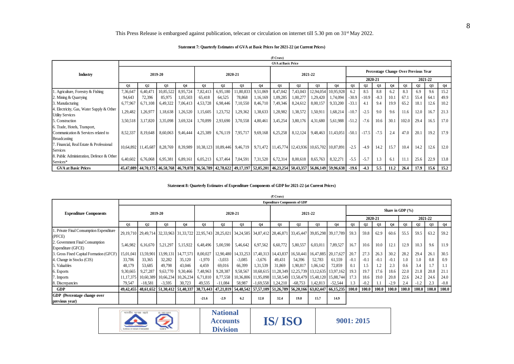### **Statement 7: Quarterly Estimates of GVA at Basic Prices for 2021-22 (at Current Prices)**

|                                           |          |                     |                                                                                                                          |                   |          |          |                                              |          | (रै Crore)                |           |                                                                                                 |                                  |         |         |         |           |                                      |      |           |                |
|-------------------------------------------|----------|---------------------|--------------------------------------------------------------------------------------------------------------------------|-------------------|----------|----------|----------------------------------------------|----------|---------------------------|-----------|-------------------------------------------------------------------------------------------------|----------------------------------|---------|---------|---------|-----------|--------------------------------------|------|-----------|----------------|
|                                           |          |                     |                                                                                                                          |                   |          |          |                                              |          | <b>GVA</b> at Basic Price |           |                                                                                                 |                                  |         |         |         |           |                                      |      |           |                |
| Industry                                  |          |                     | 2019-20                                                                                                                  |                   |          |          | 2020-21                                      |          |                           |           | 2021-22                                                                                         |                                  |         |         |         |           | Percentage Change Over Previous Year |      |           |                |
|                                           |          |                     |                                                                                                                          |                   |          |          |                                              |          |                           |           |                                                                                                 |                                  |         |         | 2020-21 |           |                                      |      | 2021-22   |                |
|                                           | Q1       | 02                  | <b>O3</b>                                                                                                                | 04                | 01       | 02       | <b>O3</b>                                    | 04       | 01                        | <b>O2</b> | <b>O3</b>                                                                                       | 04                               | 01      | 02      | Q3      | <b>04</b> | 01                                   | 02   | <b>O3</b> | Q <sub>4</sub> |
| 1. Agriculture, Forestry & Fishing        | 7,36,647 | 6,40,47             | 0,85,522                                                                                                                 | 8,95,724          | 7,82,413 | 6,95,180 | 1,80,833                                     | 9,51,069 | 8,47,042                  | 7,43,043  |                                                                                                 | 12,94,054 10,95,928              | 6.2     | 8.5     | 8.8     | 6.2       | 8.3                                  | 6.9  | 9.6       | 15.2           |
| 2. Mining & Quarrying                     | 94,643   | 72,396              | 85,975                                                                                                                   | 1,05,503          | 65,418   | 64,525   | 78,868                                       | 1,16,169 | 1,09,285                  | 1,00,277  | 1,29,420                                                                                        | 1,74,094                         | $-30.9$ | $-10.9$ | $-8.3$  | 10.       | 67.1                                 | 55.4 | 64.1      | 49.9           |
| 3. Manufacturing                          | 6,77,967 | 6,71,108            | 6,49,322                                                                                                                 | 7,06,413          | 4,53,728 | 6,98,446 | 7,10,550                                     | 8,46,710 | 7,49,346                  | 8,24,612  | 8,00,157                                                                                        | 9,33,200                         | $-33.1$ | 4.1     | 9.4     | 19.9      | 65.2                                 | 18.1 | 12.6      | 10.2           |
| 4. Electricity, Gas, Water Supply & Other | 1,29,482 | 1,26,977            | 1,18,638                                                                                                                 | 1,26,520          | 1,15,605 | 1,23,752 | 1,29,362                                     | 1,38,633 | 1,28,982                  | 1,38,572  | 1,50,911                                                                                        | 1,68,214                         | $-10.7$ | $-2.5$  | 9.0     | 9.6       | 11.6                                 | 12.0 | 16.7      | 21.3           |
| <b>Utility Services</b>                   |          |                     |                                                                                                                          |                   |          |          |                                              |          |                           |           |                                                                                                 |                                  |         |         |         |           |                                      |      |           |                |
| 5. Construction                           | 3,50,518 | 3,17,820            |                                                                                                                          | 3,35,098 3,69,324 | 1,70,899 |          | 2,93,690 3,70,558                            | 4,80,461 | 3,45,254                  | 3,80,176  | 4,31,680                                                                                        | 5,61,988                         | $-51.2$ | $-7.6$  | 10.6    | 30.1      | 102.0                                | 29.4 | 16.5      | 17.0           |
| 6. Trade, Hotels, Transport,              |          |                     |                                                                                                                          |                   |          |          |                                              |          |                           |           |                                                                                                 |                                  |         |         |         |           |                                      |      |           |                |
| Communication & Services related to       | 8,52,337 | 8,19,648            | 8,60,063                                                                                                                 | 9,46,444          | 4,25,389 |          | 6,76,119 7,95,717 9,69,168 6,25,258 8,12,124 |          |                           |           |                                                                                                 | $9,48,463$ 11,43,051 -50.1 -17.5 |         |         | $-7.5$  | 2.4       | 47.0                                 | 20.1 | 19.2      | 17.9           |
| <b>Broadcasting</b>                       |          |                     |                                                                                                                          |                   |          |          |                                              |          |                           |           |                                                                                                 |                                  |         |         |         |           |                                      |      |           |                |
| 7. Financial. Real Estate & Professional  |          | 10,64,892 11,45,687 |                                                                                                                          |                   |          |          |                                              |          |                           |           | 8,28,769 8,39,989 10,38,123 10,89,446 9,46,719 9,71,472 11,45,774 12,43,936 10,65,702 10,87,891 |                                  | $-2.5$  | $-4.9$  | 14.2    | 15.7      | 10.4                                 | 14.2 | 12.6      | 12.0           |
| Services                                  |          |                     |                                                                                                                          |                   |          |          |                                              |          |                           |           |                                                                                                 |                                  |         |         |         |           |                                      |      |           |                |
| 8. Public Administration, Defence & Other |          |                     |                                                                                                                          |                   |          |          |                                              |          |                           |           |                                                                                                 |                                  | $-5.5$  | $-5.7$  | 1.3     | 6.1       | 11.1                                 | 25.6 | 22.9      | 13.8           |
| Services*                                 | 6,40,602 | 6,76,068            | 6,95,381                                                                                                                 | 6,89,161          |          |          |                                              |          |                           |           | $6,05,213$ $6,37,464$ $7,04,591$ $7,31,520$ $6,72,314$ $8,00,618$ $8,65,763$                    | 8,32,271                         |         |         |         |           |                                      |      |           |                |
| <b>GVA at Basic Prices</b>                |          |                     | 45,88,149 59,96,638 59,96,638 646,79,078 56,56,789 42,78,622 49,17,197 52,05,201 46,23,254 50,43,357 56,86,149 59,96,638 |                   |          |          |                                              |          |                           |           |                                                                                                 |                                  | $-19.6$ | $-4.3$  | 5.5     | 11.2      | 26.4                                 | 17.9 | 15.6      | 15.2           |

### **Statement 8: Quarterly Estimates of Expenditure Components of GDP for 2021-22 (at Current Prices)**

|                                                                    |                   |                     |                         |                |                     |                                    |                         |             | <b>GVA</b> at Basic Price            |                     |                                                                                                   |           |            |           |         |        |                                      |        |                |                |
|--------------------------------------------------------------------|-------------------|---------------------|-------------------------|----------------|---------------------|------------------------------------|-------------------------|-------------|--------------------------------------|---------------------|---------------------------------------------------------------------------------------------------|-----------|------------|-----------|---------|--------|--------------------------------------|--------|----------------|----------------|
|                                                                    |                   |                     |                         |                |                     |                                    |                         |             |                                      |                     |                                                                                                   |           |            |           |         |        | Percentage Change Over Previous Year |        |                |                |
| Industry                                                           |                   |                     | 2019-20                 |                |                     |                                    | 2020-21                 |             |                                      |                     | 2021-22                                                                                           |           |            |           |         |        |                                      |        |                |                |
|                                                                    |                   |                     |                         |                |                     |                                    |                         |             |                                      |                     |                                                                                                   |           |            |           | 2020-21 |        |                                      |        | 2021-22        |                |
|                                                                    | 01                | 02                  | <b>O3</b>               | 04             | <b>01</b>           | <b>O2</b>                          | <b>O3</b>               | 04          | 01                                   | <b>O2</b>           | <b>O3</b>                                                                                         | 04        | 01         | <b>O2</b> | 03      | 04     | 01                                   | 02     | <b>O3</b>      | <b>O4</b>      |
| 1. Agriculture, Forestry & Fishing                                 | 7,36,647          | 6,40,471            | 10,85,522               | 8.95.724       | 7.82.413            | 6.95.180                           | 11,80,833               | 9.51.069    | 8.47.042                             | 7.43.043            | 12.94.054                                                                                         | 10.95.928 | 6.2        | 8.5       | 8.8     | 6.2    | 8.3                                  | 6.9    | 9.6            | 15.2           |
| 2. Mining & Quarrying                                              | 94,643            | 72,396              | 85,975                  | 1,05,503       | 65,418              | 64,525                             | 78,868                  | 1,16,169    | 1,09,285                             | 1,00,277            | 1,29,420                                                                                          | 1,74,094  | $-30.9$    | $-10.9$   | $-8.3$  | 10.1   | 67.1                                 | 55.4   | 64.1           | 49.9           |
| 3. Manufacturing                                                   | 6.77.967          | 6,71,108            | 6,49,322                | 7,06,413       | 4,53,728            | 6,98,446                           | 7,10,550                | 8,46,710    | 7,49,346                             | 8,24,612            | 8,00,157                                                                                          | 9,33,200  | $-33.1$    | 4.1       | 9.4     | 19.9   | 65.2                                 | 18.1   | 12.6           | 10.2           |
| 4. Electricity, Gas, Water Supply & Other                          | 1,29,482          | 1,26,977            | 1,18,638                | 1,26,520       | 1,15,605            | 1,23,752                           | 1,29,362                | 1,38,633    | 1,28,982                             | 1,38,572            | 1,50,911                                                                                          | 1,68,214  | $-10.7$    | $-2.5$    | 9.0     | 9.6    | 11.6                                 | 12.0   | 16.7           | 21.3           |
| <b>Utility Services</b>                                            |                   |                     |                         |                |                     |                                    |                         |             |                                      |                     |                                                                                                   |           |            |           |         |        |                                      |        |                |                |
| 5. Construction                                                    | 3.50.518          | 3,17,820            | 3,35,098                | 3,69,324       | 1,70,899            | 2,93,690                           | 3,70,558                | 4,80,461    | 3,45,254                             | 3,80,176            | 4,31,680                                                                                          | 5.61.988  | $-51.2$    | $-7.6$    | 10.6    | 30.1   | 102.0                                | 29.4   | 16.5           | 17.0           |
| 6. Trade, Hotels, Transport,                                       |                   |                     |                         |                |                     |                                    |                         |             |                                      |                     |                                                                                                   |           |            |           |         |        |                                      |        |                |                |
| Communication & Services related to                                | 8,52,337          | 8,19,648            | 8,60,063                | 9,46,444       | 4,25,389            | 6,76,119                           | 7,95,717                | 9,69,168    | 6,25,258                             | 8,12,124            | 9,48,463                                                                                          | 11,43,051 | $-50.1$    | $-17.5$   | $-7.5$  | 2.4    | 47.0                                 | 20.1   | 19.2           | 17.9           |
| Broadcasting                                                       |                   |                     |                         |                |                     |                                    |                         |             |                                      |                     |                                                                                                   |           |            |           |         |        |                                      |        |                |                |
| 7. Financial, Real Estate & Professional                           |                   | 10,64,892 11,45,687 | 8,28,769                | 8,39,989       | 10,38,123           | 10,89,446                          | 9,46,719                | 9,71,472    |                                      | 11,45,774 12,43,936 | 10,65,702                                                                                         | 10.87.891 | $-2.5$     | -4.9      | 14.2    | 15.7   | 10.4                                 | 14.2   | 12.6           | 12.0           |
| <b>Services</b>                                                    |                   |                     |                         |                |                     |                                    |                         |             |                                      |                     |                                                                                                   |           |            |           |         |        |                                      |        |                |                |
| 8. Public Administration, Defence & Other<br>Services <sup>*</sup> | 6,40,602          | 6,76,068            | 6,95,381                | 6,89,161       | 6,05,213            | 6,37,464                           | 7,04,591                | 7,31,520    | 6,72,314                             | 8,00,618            | 8,65,763                                                                                          | 8,32,271  | $-5.5$     | $-5.7$    | 1.3     | 6.1    | 11.1                                 | 25.6   | 22.9           | 13.8           |
| <b>GVA at Basic Prices</b>                                         | 45,47,089         | 44,70,175           | 46,58,768               |                | 46,79,078 36,56,789 | 42,78,622                          | 49,17,197 52,05,201     |             | 46,23,254                            | 50,43,357           | 56,86,149                                                                                         | 59,96,638 | $-19.6$    | $-4.3$    | 5.5     | 11.2   | 26.4                                 | 17.9   | 15.6           | 15.2           |
|                                                                    |                   |                     |                         |                |                     |                                    |                         |             |                                      |                     |                                                                                                   |           |            |           |         |        |                                      |        |                |                |
|                                                                    |                   |                     |                         |                |                     |                                    |                         |             |                                      |                     |                                                                                                   |           |            |           |         |        |                                      |        |                |                |
|                                                                    |                   |                     |                         |                |                     |                                    |                         |             |                                      |                     | Statement 8: Quarterly Estimates of Expenditure Components of GDP for 2021-22 (at Current Prices) |           |            |           |         |        |                                      |        |                |                |
|                                                                    |                   |                     |                         |                |                     |                                    |                         |             | (₹ Crore)                            |                     |                                                                                                   |           |            |           |         |        |                                      |        |                |                |
|                                                                    |                   |                     |                         |                |                     |                                    |                         |             | <b>Expenditure Components of GDP</b> |                     |                                                                                                   |           |            |           |         |        |                                      |        |                |                |
|                                                                    |                   |                     |                         |                |                     |                                    |                         |             |                                      |                     |                                                                                                   |           |            |           |         |        | Share in GDP (%)                     |        |                |                |
| <b>Expenditure Components</b>                                      |                   |                     | 2019-20                 |                |                     |                                    | 2020-21                 |             |                                      |                     | 2021-22                                                                                           |           |            |           |         |        |                                      |        |                |                |
|                                                                    | 01                | Q2                  |                         |                |                     |                                    |                         |             |                                      |                     |                                                                                                   |           |            |           |         |        |                                      |        |                |                |
| . Private Final Consumption Expenditure                            |                   |                     |                         |                |                     |                                    |                         |             |                                      |                     |                                                                                                   |           |            |           | 2020-21 |        |                                      |        | 2021-22        |                |
| (PFCE)                                                             |                   |                     | Q3                      | Q <sub>4</sub> | Q1                  | Q <sub>2</sub>                     | <b>O3</b>               | 04          | 01                                   | Q2                  | <b>O3</b>                                                                                         | 04        | 01         | <b>O2</b> | Q3      | 04     | Q1                                   | 02     | 0 <sub>3</sub> | Q <sub>4</sub> |
|                                                                    | 29, 19, 710       |                     | 29, 49, 714 32, 33, 963 | 31, 33, 722    | 22,95,743           | 28,25,021                          | 34, 24, 585 34, 87, 412 |             | 28,46,871                            | 33,45,447           | 39,85,298                                                                                         | 39,17,789 | 59.3       | 59.8      | 62.9    | 60.6   | 55.5                                 | 59.5   | 63.2           | 59.2           |
| 2. Government Final Consumption                                    |                   |                     |                         |                |                     |                                    |                         |             |                                      |                     |                                                                                                   |           |            |           |         |        |                                      |        |                |                |
| Expenditure (GFCE)                                                 | 5,46,982          | 6,16,670            | 5, 21, 297              | 5,15,922       | 6,48,496            | 5,00,590                           | 5,46,642                | 6,97,562    | 6,60,772                             | 5,80,557            | 6,03,011                                                                                          | 7,89,527  | 16.7       | 10.6      | 10.0    | 12.1   | 12.9                                 | 10.3   | 9.6            | 11.9           |
| 3. Gross Fixed Capital Formation (GFCF)                            | 15,01,041         | 13,59,901           | 13,99,131               | 14,77,57       | 8,00,027            | 12,90,480                          | 14,33,253               | 17,40,313   | 14,43,837                            | 16,50,441           | 16,47,885                                                                                         | 20.17.627 | 20.7       | 27.3      | 26.3    | 30.2   | 28.2                                 | 29.4   | 26.1           | 30.5           |
| . Change in Stocks (CIS)                                           | 33,706            | 33,365              | 32,282                  | 35,120         | $-1,970$            | $-3,033$                           | $-3,085$                | $-3,676$    | 49,431                               | 54,396              | 52,783                                                                                            | 61,559    | $-0.1$     | $-0.1$    | $-0.1$  | $-0.1$ | 1.0                                  | 1.0    | 0.8            | 0.9            |
| 5. Valuables                                                       | 48,179            | 53,685              | 49,798                  | 43,046         | 4,459               | 69,016                             | 66,399                  | 1,31,539    | 31,869                               | 1,90,817            | 1,06,142                                                                                          | 72,859    | 0.1        | 1.5       | 1.2     | 2.3    | 0.6                                  | 3.4    | 1.7            | 1.1            |
| 6. Exports                                                         | 9.30.665          | 9,27,287            | 9,63,770                | 9,30,466       | 7,48,963            | 9,28,387                           | 9,58,567                | 10,68,615   | 11,28,349                            | 12,25,739           | 13,12,635                                                                                         | 13,97,162 | 19.3       | 19.7      | 17.6    | 18.6   | 22.0                                 | 21.8   | 20.8           | 21.1           |
| . Imports                                                          | 11, 17, 375       | 10,60,389           | 10,66,234               | 10,26,234      | 6,71,810            | 8,77,558                           | 10,36,806               | 11,95,098   | 11,58,549                            | 13,58,479           | 15,48,120                                                                                         | 15,88,744 | 17.3       | 18.6      | 19.0    | 20.8   | 22.6                                 | 24.2   | 24.6           | 24.0           |
| 8. Discrepancies                                                   | 79.547            | $-18.581$           | $-3.595$                | 30.723         | 49.535              | $-11.084$                          | 58,987                  | $-1.69.558$ | 1,24,210                             | $-68,753$           | 1,42,813                                                                                          | $-52.544$ | 1.3        | $-0.2$    | 1.1     | $-2.9$ | 2.4                                  | $-1.2$ | 2.3            | $-0.8$         |
| <b>GDP</b>                                                         | 49,42,455         | 48,61,652           | 51,30,412               | 51,40,33       | 38,73,443           | 47,21,819                          | 54,48,542               | 57,57,109   | 51,26,789                            | 56,20,166           | 63,02,447                                                                                         | 66,15,235 | 100.0      | 100.0     | 100.0   | 100.0  | 100.0                                | 100.0  | 100.0          | 100.0          |
| GDP (Percentage change over                                        |                   |                     |                         |                | $-21.6$             | $-2.9$                             | 6.2                     | 12.0        | 32.4                                 | 19.0                | 15.7                                                                                              | 14.9      |            |           |         |        |                                      |        |                |                |
| previous vear)                                                     |                   |                     |                         |                |                     |                                    |                         |             |                                      |                     |                                                                                                   |           |            |           |         |        |                                      |        |                |                |
|                                                                    | भारतीय मानक व्यरो |                     | IS / ISO 9001           |                |                     |                                    |                         |             |                                      |                     |                                                                                                   |           |            |           |         |        |                                      |        |                |                |
|                                                                    |                   |                     |                         |                |                     | <b>National</b><br><b>Accounts</b> |                         |             | <b>IS/ISO</b>                        |                     |                                                                                                   |           | 9001: 2015 |           |         |        |                                      |        |                |                |